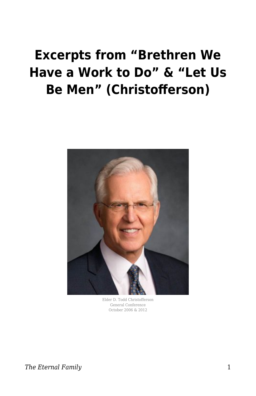# **Excerpts from "Brethren We Have a Work to Do" & "Let Us Be Men" (Christofferson)**



Elder D. Todd Christofferson General Conference October 2006 & 2012

**The Eternal Family** 1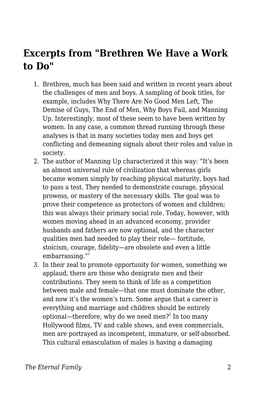## **Excerpts from "Brethren We Have a Work to Do"**

- 1. Brethren, much has been said and written in recent years about the challenges of men and boys. A sampling of book titles, for example, includes Why There Are No Good Men Left, The Demise of Guys, The End of Men, Why Boys Fail, and Manning Up. Interestingly, most of these seem to have been written by women. In any case, a common thread running through these analyses is that in many societies today men and boys get conflicting and demeaning signals about their roles and value in society.
- 2. The author of Manning Up characterized it this way: "It's been an almost universal rule of civilization that whereas girls became women simply by reaching physical maturity, boys had to pass a test. They needed to demonstrate courage, physical prowess, or mastery of the necessary skills. The goal was to prove their competence as protectors of women and children; this was always their primary social role. Today, however, with women moving ahead in an advanced economy, provider husbands and fathers are now optional, and the character qualities men had needed to play their role— fortitude, stoicism, courage, fidelity—are obsolete and even a little embarrassing."<sup>1</sup>
- 3. In their zeal to promote opportunity for women, something we applaud, there are those who denigrate men and their contributions. They seem to think of life as a competition between male and female—that one must dominate the other, and now it's the women's turn. Some argue that a career is everything and marriage and children should be entirely optional—therefore, why do we need men? $^2$  In too many Hollywood films, TV and cable shows, and even commercials, men are portrayed as incompetent, immature, or self-absorbed. This cultural emasculation of males is having a damaging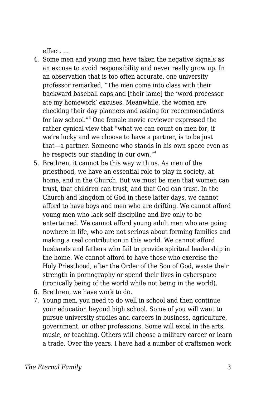effect. …

- 4. Some men and young men have taken the negative signals as an excuse to avoid responsibility and never really grow up. In an observation that is too often accurate, one university professor remarked, "The men come into class with their backward baseball caps and [their lame] the 'word processor ate my homework' excuses. Meanwhile, the women are checking their day planners and asking for recommendations for law school."<sup>3</sup> One female movie reviewer expressed the rather cynical view that "what we can count on men for, if we're lucky and we choose to have a partner, is to be just that—a partner. Someone who stands in his own space even as he respects our standing in our own."<sup>4</sup>
- 5. Brethren, it cannot be this way with us. As men of the priesthood, we have an essential role to play in society, at home, and in the Church. But we must be men that women can trust, that children can trust, and that God can trust. In the Church and kingdom of God in these latter days, we cannot afford to have boys and men who are drifting. We cannot afford young men who lack self-discipline and live only to be entertained. We cannot afford young adult men who are going nowhere in life, who are not serious about forming families and making a real contribution in this world. We cannot afford husbands and fathers who fail to provide spiritual leadership in the home. We cannot afford to have those who exercise the Holy Priesthood, after the Order of the Son of God, waste their strength in pornography or spend their lives in cyberspace (ironically being of the world while not being in the world).
- 6. Brethren, we have work to do.
- 7. Young men, you need to do well in school and then continue your education beyond high school. Some of you will want to pursue university studies and careers in business, agriculture, government, or other professions. Some will excel in the arts, music, or teaching. Others will choose a military career or learn a trade. Over the years, I have had a number of craftsmen work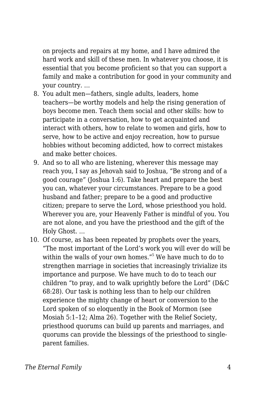on projects and repairs at my home, and I have admired the hard work and skill of these men. In whatever you choose, it is essential that you become proficient so that you can support a family and make a contribution for good in your community and your country. …

- 8. You adult men—fathers, single adults, leaders, home teachers—be worthy models and help the rising generation of boys become men. Teach them social and other skills: how to participate in a conversation, how to get acquainted and interact with others, how to relate to women and girls, how to serve, how to be active and enjoy recreation, how to pursue hobbies without becoming addicted, how to correct mistakes and make better choices.
- 9. And so to all who are listening, wherever this message may reach you, I say as Jehovah said to Joshua, "Be strong and of a good courage" (Joshua 1:6). Take heart and prepare the best you can, whatever your circumstances. Prepare to be a good husband and father; prepare to be a good and productive citizen; prepare to serve the Lord, whose priesthood you hold. Wherever you are, your Heavenly Father is mindful of you. You are not alone, and you have the priesthood and the gift of the Holy Ghost. …
- 10. Of course, as has been repeated by prophets over the years, "The most important of the Lord's work you will ever do will be within the walls of your own homes."<sup>5</sup> We have much to do to strengthen marriage in societies that increasingly trivialize its importance and purpose. We have much to do to teach our children "to pray, and to walk uprightly before the Lord" (D&C 68:28). Our task is nothing less than to help our children experience the mighty change of heart or conversion to the Lord spoken of so eloquently in the Book of Mormon (see Mosiah 5:1–12; Alma 26). Together with the Relief Society, priesthood quorums can build up parents and marriages, and quorums can provide the blessings of the priesthood to singleparent families.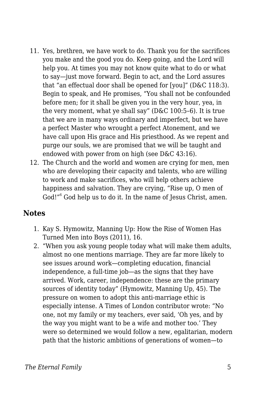- 11. Yes, brethren, we have work to do. Thank you for the sacrifices you make and the good you do. Keep going, and the Lord will help you. At times you may not know quite what to do or what to say—just move forward. Begin to act, and the Lord assures that "an effectual door shall be opened for [you]" (D&C 118:3). Begin to speak, and He promises, "You shall not be confounded before men; for it shall be given you in the very hour, yea, in the very moment, what ye shall say" (D&C 100:5–6). It is true that we are in many ways ordinary and imperfect, but we have a perfect Master who wrought a perfect Atonement, and we have call upon His grace and His priesthood. As we repent and purge our souls, we are promised that we will be taught and endowed with power from on high (see D&C 43:16).
- 12. The Church and the world and women are crying for men, men who are developing their capacity and talents, who are willing to work and make sacrifices, who will help others achieve happiness and salvation. They are crying, "Rise up, O men of God!"<sup>6</sup> God help us to do it. In the name of Jesus Christ, amen.

#### **Notes**

- 1. Kay S. Hymowitz, Manning Up: How the Rise of Women Has Turned Men into Boys (2011), 16.
- 2. "When you ask young people today what will make them adults, almost no one mentions marriage. They are far more likely to see issues around work—completing education, financial independence, a full-time job—as the signs that they have arrived. Work, career, independence: these are the primary sources of identity today" (Hymowitz, Manning Up, 45). The pressure on women to adopt this anti-marriage ethic is especially intense. A Times of London contributor wrote: "No one, not my family or my teachers, ever said, 'Oh yes, and by the way you might want to be a wife and mother too.' They were so determined we would follow a new, egalitarian, modern path that the historic ambitions of generations of women—to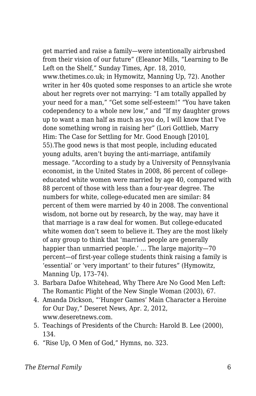get married and raise a family—were intentionally airbrushed from their vision of our future" (Eleanor Mills, "Learning to Be Left on the Shelf," Sunday Times, Apr. 18, 2010, www.thetimes.co.uk; in Hymowitz, Manning Up, 72). Another writer in her 40s quoted some responses to an article she wrote about her regrets over not marrying: "I am totally appalled by your need for a man," "Get some self-esteem!" "You have taken codependency to a whole new low," and "If my daughter grows up to want a man half as much as you do, I will know that I've done something wrong in raising her" (Lori Gottlieb, Marry Him: The Case for Settling for Mr. Good Enough [2010], 55).The good news is that most people, including educated young adults, aren't buying the anti-marriage, antifamily message. "According to a study by a University of Pennsylvania economist, in the United States in 2008, 86 percent of collegeeducated white women were married by age 40, compared with 88 percent of those with less than a four-year degree. The numbers for white, college-educated men are similar: 84 percent of them were married by 40 in 2008. The conventional wisdom, not borne out by research, by the way, may have it that marriage is a raw deal for women. But college-educated white women don't seem to believe it. They are the most likely of any group to think that 'married people are generally happier than unmarried people.' ... The large majority-70 percent—of first-year college students think raising a family is 'essential' or 'very important' to their futures" (Hymowitz, Manning Up, 173–74).

- 3. Barbara Dafoe Whitehead, Why There Are No Good Men Left: The Romantic Plight of the New Single Woman (2003), 67.
- 4. Amanda Dickson, "'Hunger Games' Main Character a Heroine for Our Day," Deseret News, Apr. 2, 2012, www.deseretnews.com.
- 5. Teachings of Presidents of the Church: Harold B. Lee (2000), 134.
- 6. "Rise Up, O Men of God," Hymns, no. 323.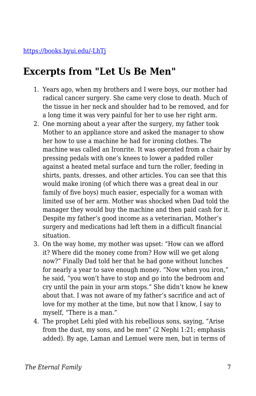#### [https://books.byui.edu/-LhTj](https://www.churchofjesuschrist.org/study/general-conference/2012/10/brethren-we-have-work-to-do?lang=eng)

### **Excerpts from "Let Us Be Men"**

- 1. Years ago, when my brothers and I were boys, our mother had radical cancer surgery. She came very close to death. Much of the tissue in her neck and shoulder had to be removed, and for a long time it was very painful for her to use her right arm.
- 2. One morning about a year after the surgery, my father took Mother to an appliance store and asked the manager to show her how to use a machine he had for ironing clothes. The machine was called an Ironrite. It was operated from a chair by pressing pedals with one's knees to lower a padded roller against a heated metal surface and turn the roller, feeding in shirts, pants, dresses, and other articles. You can see that this would make ironing (of which there was a great deal in our family of five boys) much easier, especially for a woman with limited use of her arm. Mother was shocked when Dad told the manager they would buy the machine and then paid cash for it. Despite my father's good income as a veterinarian, Mother's surgery and medications had left them in a difficult financial situation.
- 3. On the way home, my mother was upset: "How can we afford it? Where did the money come from? How will we get along now?" Finally Dad told her that he had gone without lunches for nearly a year to save enough money. "Now when you iron," he said, "you won't have to stop and go into the bedroom and cry until the pain in your arm stops." She didn't know he knew about that. I was not aware of my father's sacrifice and act of love for my mother at the time, but now that I know, I say to myself, "There is a man."
- 4. The prophet Lehi pled with his rebellious sons, saying, "Arise from the dust, my sons, and be men" (2 Nephi 1:21; emphasis added). By age, Laman and Lemuel were men, but in terms of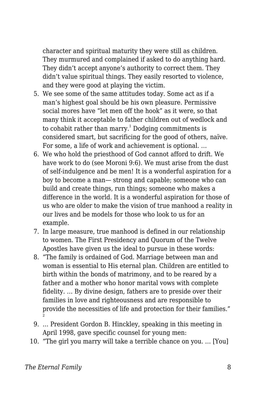character and spiritual maturity they were still as children. They murmured and complained if asked to do anything hard. They didn't accept anyone's authority to correct them. They didn't value spiritual things. They easily resorted to violence, and they were good at playing the victim.

- 5. We see some of the same attitudes today. Some act as if a man's highest goal should be his own pleasure. Permissive social mores have "let men off the hook" as it were, so that many think it acceptable to father children out of wedlock and to cohabit rather than marry. $^{\rm 1}$  Dodging commitments is considered smart, but sacrificing for the good of others, naïve. For some, a life of work and achievement is optional. …
- 6. We who hold the priesthood of God cannot afford to drift. We have work to do (see Moroni 9:6). We must arise from the dust of self-indulgence and be men! It is a wonderful aspiration for a boy to become a man— strong and capable; someone who can build and create things, run things; someone who makes a difference in the world. It is a wonderful aspiration for those of us who are older to make the vision of true manhood a reality in our lives and be models for those who look to us for an example.
- 7. In large measure, true manhood is defined in our relationship to women. The First Presidency and Quorum of the Twelve Apostles have given us the ideal to pursue in these words:
- 8. "The family is ordained of God. Marriage between man and woman is essential to His eternal plan. Children are entitled to birth within the bonds of matrimony, and to be reared by a father and a mother who honor marital vows with complete fidelity. … By divine design, fathers are to preside over their families in love and righteousness and are responsible to provide the necessities of life and protection for their families." 2
- 9. … President Gordon B. Hinckley, speaking in this meeting in April 1998, gave specific counsel for young men:
- 10. "The girl you marry will take a terrible chance on you. … [You]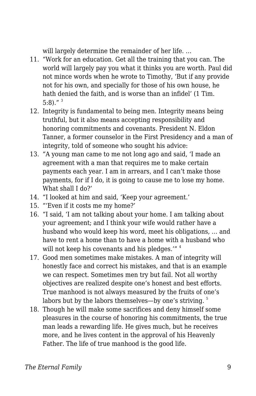will largely determine the remainder of her life. …

- 11. "Work for an education. Get all the training that you can. The world will largely pay you what it thinks you are worth. Paul did not mince words when he wrote to Timothy, 'But if any provide not for his own, and specially for those of his own house, he hath denied the faith, and is worse than an infidel' (1 Tim. 5:8)."  $3$
- 12. Integrity is fundamental to being men. Integrity means being truthful, but it also means accepting responsibility and honoring commitments and covenants. President N. Eldon Tanner, a former counselor in the First Presidency and a man of integrity, told of someone who sought his advice:
- 13. "A young man came to me not long ago and said, 'I made an agreement with a man that requires me to make certain payments each year. I am in arrears, and I can't make those payments, for if I do, it is going to cause me to lose my home. What shall I do?'
- 14. "I looked at him and said, 'Keep your agreement.'
- 15. "'Even if it costs me my home?'
- 16. "I said, 'I am not talking about your home. I am talking about your agreement; and I think your wife would rather have a husband who would keep his word, meet his obligations, … and have to rent a home than to have a home with a husband who will not keep his covenants and his pledges.'" <sup>4</sup>
- 17. Good men sometimes make mistakes. A man of integrity will honestly face and correct his mistakes, and that is an example we can respect. Sometimes men try but fail. Not all worthy objectives are realized despite one's honest and best efforts. True manhood is not always measured by the fruits of one's labors but by the labors themselves—by one's striving.<sup>5</sup>
- 18. Though he will make some sacrifices and deny himself some pleasures in the course of honoring his commitments, the true man leads a rewarding life. He gives much, but he receives more, and he lives content in the approval of his Heavenly Father. The life of true manhood is the good life.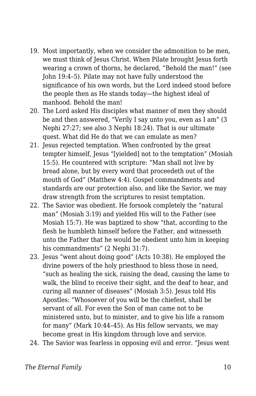- 19. Most importantly, when we consider the admonition to be men, we must think of Jesus Christ. When Pilate brought Jesus forth wearing a crown of thorns, he declared, "Behold the man!" (see John 19:4–5). Pilate may not have fully understood the significance of his own words, but the Lord indeed stood before the people then as He stands today—the highest ideal of manhood. Behold the man!
- 20. The Lord asked His disciples what manner of men they should be and then answered, "Verily I say unto you, even as I am" (3 Nephi 27:27; see also 3 Nephi 18:24). That is our ultimate quest. What did He do that we can emulate as men?
- 21. Jesus rejected temptation. When confronted by the great tempter himself, Jesus "[yielded] not to the temptation" (Mosiah 15:5). He countered with scripture: "Man shall not live by bread alone, but by every word that proceedeth out of the mouth of God" (Matthew 4:4). Gospel commandments and standards are our protection also, and like the Savior, we may draw strength from the scriptures to resist temptation.
- 22. The Savior was obedient. He forsook completely the "natural man" (Mosiah 3:19) and yielded His will to the Father (see Mosiah 15:7). He was baptized to show "that, according to the flesh he humbleth himself before the Father, and witnesseth unto the Father that he would be obedient unto him in keeping his commandments" (2 Nephi 31:7).
- 23. Jesus "went about doing good" (Acts 10:38). He employed the divine powers of the holy priesthood to bless those in need, "such as healing the sick, raising the dead, causing the lame to walk, the blind to receive their sight, and the deaf to hear, and curing all manner of diseases" (Mosiah 3:5). Jesus told His Apostles: "Whosoever of you will be the chiefest, shall be servant of all. For even the Son of man came not to be ministered unto, but to minister, and to give his life a ransom for many" (Mark 10:44–45). As His fellow servants, we may become great in His kingdom through love and service.
- 24. The Savior was fearless in opposing evil and error. "Jesus went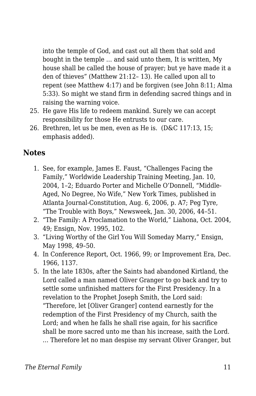into the temple of God, and cast out all them that sold and bought in the temple … and said unto them, It is written, My house shall be called the house of prayer; but ye have made it a den of thieves" (Matthew 21:12– 13). He called upon all to repent (see Matthew 4:17) and be forgiven (see John 8:11; Alma 5:33). So might we stand firm in defending sacred things and in raising the warning voice.

- 25. He gave His life to redeem mankind. Surely we can accept responsibility for those He entrusts to our care.
- 26. Brethren, let us be men, even as He is. (D&C 117:13, 15; emphasis added).

#### **Notes**

- 1. See, for example, James E. Faust, "Challenges Facing the Family," Worldwide Leadership Training Meeting, Jan. 10, 2004, 1–2; Eduardo Porter and Michelle O'Donnell, "Middle-Aged, No Degree, No Wife," New York Times, published in Atlanta Journal-Constitution, Aug. 6, 2006, p. A7; Peg Tyre, "The Trouble with Boys," Newsweek, Jan. 30, 2006, 44–51.
- 2. "The Family: A Proclamation to the World," Liahona, Oct. 2004, 49; Ensign, Nov. 1995, 102.
- 3. "Living Worthy of the Girl You Will Someday Marry," Ensign, May 1998, 49–50.
- 4. In Conference Report, Oct. 1966, 99; or Improvement Era, Dec. 1966, 1137.
- 5. In the late 1830s, after the Saints had abandoned Kirtland, the Lord called a man named Oliver Granger to go back and try to settle some unfinished matters for the First Presidency. In a revelation to the Prophet Joseph Smith, the Lord said: "Therefore, let [Oliver Granger] contend earnestly for the redemption of the First Presidency of my Church, saith the Lord; and when he falls he shall rise again, for his sacrifice shall be more sacred unto me than his increase, saith the Lord. … Therefore let no man despise my servant Oliver Granger, but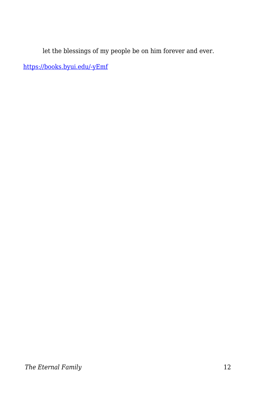let the blessings of my people be on him forever and ever. [https://books.byui.edu/-yEmf](https://www.churchofjesuschrist.org/study/general-conference/2006/10/let-us-be-men?lang=eng)